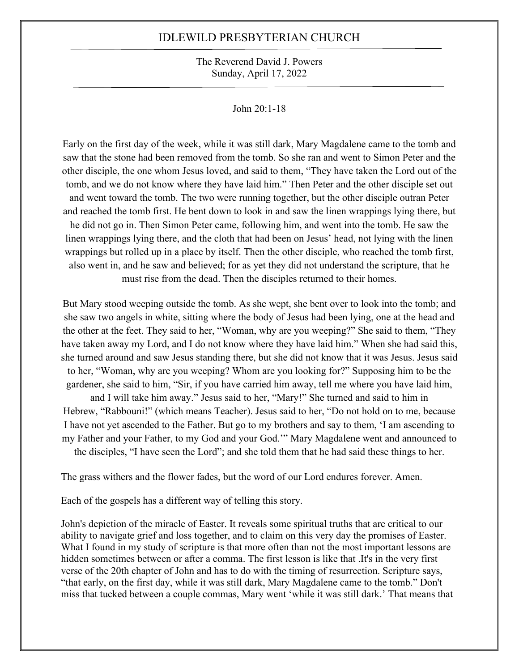#### The Reverend David J. Powers Sunday, April 17, 2022

#### John 20:1-18

Early on the first day of the week, while it was still dark, Mary Magdalene came to the tomb and saw that the stone had been removed from the tomb. So she ran and went to Simon Peter and the other disciple, the one whom Jesus loved, and said to them, "They have taken the Lord out of the tomb, and we do not know where they have laid him." Then Peter and the other disciple set out and went toward the tomb. The two were running together, but the other disciple outran Peter and reached the tomb first. He bent down to look in and saw the linen wrappings lying there, but he did not go in. Then Simon Peter came, following him, and went into the tomb. He saw the linen wrappings lying there, and the cloth that had been on Jesus' head, not lying with the linen wrappings but rolled up in a place by itself. Then the other disciple, who reached the tomb first, also went in, and he saw and believed; for as yet they did not understand the scripture, that he must rise from the dead. Then the disciples returned to their homes.

But Mary stood weeping outside the tomb. As she wept, she bent over to look into the tomb; and she saw two angels in white, sitting where the body of Jesus had been lying, one at the head and the other at the feet. They said to her, "Woman, why are you weeping?" She said to them, "They have taken away my Lord, and I do not know where they have laid him." When she had said this, she turned around and saw Jesus standing there, but she did not know that it was Jesus. Jesus said to her, "Woman, why are you weeping? Whom are you looking for?" Supposing him to be the gardener, she said to him, "Sir, if you have carried him away, tell me where you have laid him,

and I will take him away." Jesus said to her, "Mary!" She turned and said to him in Hebrew, "Rabbouni!" (which means Teacher). Jesus said to her, "Do not hold on to me, because I have not yet ascended to the Father. But go to my brothers and say to them, 'I am ascending to my Father and your Father, to my God and your God.'" Mary Magdalene went and announced to the disciples, "I have seen the Lord"; and she told them that he had said these things to her.

The grass withers and the flower fades, but the word of our Lord endures forever. Amen.

Each of the gospels has a different way of telling this story.

John's depiction of the miracle of Easter. It reveals some spiritual truths that are critical to our ability to navigate grief and loss together, and to claim on this very day the promises of Easter. What I found in my study of scripture is that more often than not the most important lessons are hidden sometimes between or after a comma. The first lesson is like that .It's in the very first verse of the 20th chapter of John and has to do with the timing of resurrection. Scripture says, "that early, on the first day, while it was still dark, Mary Magdalene came to the tomb." Don't miss that tucked between a couple commas, Mary went 'while it was still dark.' That means that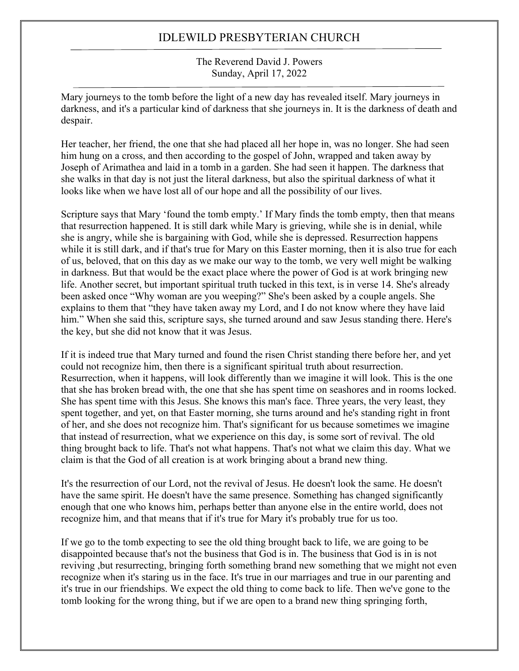#### The Reverend David J. Powers Sunday, April 17, 2022

Mary journeys to the tomb before the light of a new day has revealed itself. Mary journeys in darkness, and it's a particular kind of darkness that she journeys in. It is the darkness of death and despair.

Her teacher, her friend, the one that she had placed all her hope in, was no longer. She had seen him hung on a cross, and then according to the gospel of John, wrapped and taken away by Joseph of Arimathea and laid in a tomb in a garden. She had seen it happen. The darkness that she walks in that day is not just the literal darkness, but also the spiritual darkness of what it looks like when we have lost all of our hope and all the possibility of our lives.

Scripture says that Mary 'found the tomb empty.' If Mary finds the tomb empty, then that means that resurrection happened. It is still dark while Mary is grieving, while she is in denial, while she is angry, while she is bargaining with God, while she is depressed. Resurrection happens while it is still dark, and if that's true for Mary on this Easter morning, then it is also true for each of us, beloved, that on this day as we make our way to the tomb, we very well might be walking in darkness. But that would be the exact place where the power of God is at work bringing new life. Another secret, but important spiritual truth tucked in this text, is in verse 14. She's already been asked once "Why woman are you weeping?" She's been asked by a couple angels. She explains to them that "they have taken away my Lord, and I do not know where they have laid him." When she said this, scripture says, she turned around and saw Jesus standing there. Here's the key, but she did not know that it was Jesus.

If it is indeed true that Mary turned and found the risen Christ standing there before her, and yet could not recognize him, then there is a significant spiritual truth about resurrection. Resurrection, when it happens, will look differently than we imagine it will look. This is the one that she has broken bread with, the one that she has spent time on seashores and in rooms locked. She has spent time with this Jesus. She knows this man's face. Three years, the very least, they spent together, and yet, on that Easter morning, she turns around and he's standing right in front of her, and she does not recognize him. That's significant for us because sometimes we imagine that instead of resurrection, what we experience on this day, is some sort of revival. The old thing brought back to life. That's not what happens. That's not what we claim this day. What we claim is that the God of all creation is at work bringing about a brand new thing.

It's the resurrection of our Lord, not the revival of Jesus. He doesn't look the same. He doesn't have the same spirit. He doesn't have the same presence. Something has changed significantly enough that one who knows him, perhaps better than anyone else in the entire world, does not recognize him, and that means that if it's true for Mary it's probably true for us too.

If we go to the tomb expecting to see the old thing brought back to life, we are going to be disappointed because that's not the business that God is in. The business that God is in is not reviving ,but resurrecting, bringing forth something brand new something that we might not even recognize when it's staring us in the face. It's true in our marriages and true in our parenting and it's true in our friendships. We expect the old thing to come back to life. Then we've gone to the tomb looking for the wrong thing, but if we are open to a brand new thing springing forth,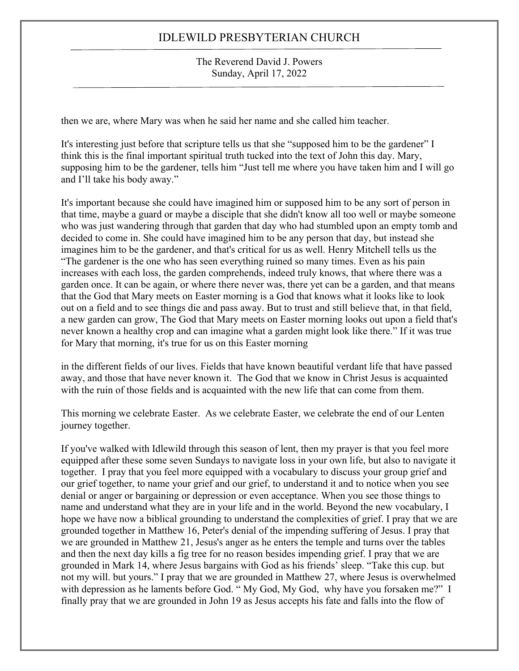#### The Reverend David J. Powers Sunday, April 17, 2022

then we are, where Mary was when he said her name and she called him teacher.

It's interesting just before that scripture tells us that she "supposed him to be the gardener" I think this is the final important spiritual truth tucked into the text of John this day. Mary, supposing him to be the gardener, tells him "Just tell me where you have taken him and I will go and I'll take his body away."

It's important because she could have imagined him or supposed him to be any sort of person in that time, maybe a guard or maybe a disciple that she didn't know all too well or maybe someone who was just wandering through that garden that day who had stumbled upon an empty tomb and decided to come in. She could have imagined him to be any person that day, but instead she imagines him to be the gardener, and that's critical for us as well. Henry Mitchell tells us the "The gardener is the one who has seen everything ruined so many times. Even as his pain increases with each loss, the garden comprehends, indeed truly knows, that where there was a garden once. It can be again, or where there never was, there yet can be a garden, and that means that the God that Mary meets on Easter morning is a God that knows what it looks like to look out on a field and to see things die and pass away. But to trust and still believe that, in that field, a new garden can grow, The God that Mary meets on Easter morning looks out upon a field that's never known a healthy crop and can imagine what a garden might look like there." If it was true for Mary that morning, it's true for us on this Easter morning

in the different fields of our lives. Fields that have known beautiful verdant life that have passed away, and those that have never known it. The God that we know in Christ Jesus is acquainted with the ruin of those fields and is acquainted with the new life that can come from them.

This morning we celebrate Easter. As we celebrate Easter, we celebrate the end of our Lenten journey together.

If you've walked with Idlewild through this season of lent, then my prayer is that you feel more equipped after these some seven Sundays to navigate loss in your own life, but also to navigate it together. I pray that you feel more equipped with a vocabulary to discuss your group grief and our grief together, to name your grief and our grief, to understand it and to notice when you see denial or anger or bargaining or depression or even acceptance. When you see those things to name and understand what they are in your life and in the world. Beyond the new vocabulary, I hope we have now a biblical grounding to understand the complexities of grief. I pray that we are grounded together in Matthew 16, Peter's denial of the impending suffering of Jesus. I pray that we are grounded in Matthew 21, Jesus's anger as he enters the temple and turns over the tables and then the next day kills a fig tree for no reason besides impending grief. I pray that we are grounded in Mark 14, where Jesus bargains with God as his friends' sleep. "Take this cup. but not my will. but yours." I pray that we are grounded in Matthew 27, where Jesus is overwhelmed with depression as he laments before God. " My God, My God, why have you forsaken me?" I finally pray that we are grounded in John 19 as Jesus accepts his fate and falls into the flow of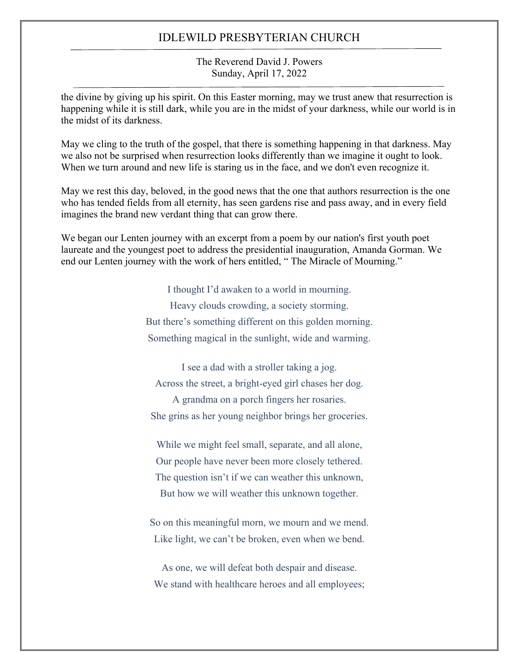#### The Reverend David J. Powers Sunday, April 17, 2022

the divine by giving up his spirit. On this Easter morning, may we trust anew that resurrection is happening while it is still dark, while you are in the midst of your darkness, while our world is in the midst of its darkness.

May we cling to the truth of the gospel, that there is something happening in that darkness. May we also not be surprised when resurrection looks differently than we imagine it ought to look. When we turn around and new life is staring us in the face, and we don't even recognize it.

May we rest this day, beloved, in the good news that the one that authors resurrection is the one who has tended fields from all eternity, has seen gardens rise and pass away, and in every field imagines the brand new verdant thing that can grow there.

We began our Lenten journey with an excerpt from a poem by our nation's first youth poet laureate and the youngest poet to address the presidential inauguration, Amanda Gorman. We end our Lenten journey with the work of hers entitled, " The Miracle of Mourning."

> I thought I'd awaken to a world in mourning. Heavy clouds crowding, a society storming. But there's something different on this golden morning. Something magical in the sunlight, wide and warming.

I see a dad with a stroller taking a jog. Across the street, a bright-eyed girl chases her dog. A grandma on a porch fingers her rosaries. She grins as her young neighbor brings her groceries.

While we might feel small, separate, and all alone, Our people have never been more closely tethered. The question isn't if we can weather this unknown, But how we will weather this unknown together.

So on this meaningful morn, we mourn and we mend. Like light, we can't be broken, even when we bend.

As one, we will defeat both despair and disease. We stand with healthcare heroes and all employees;